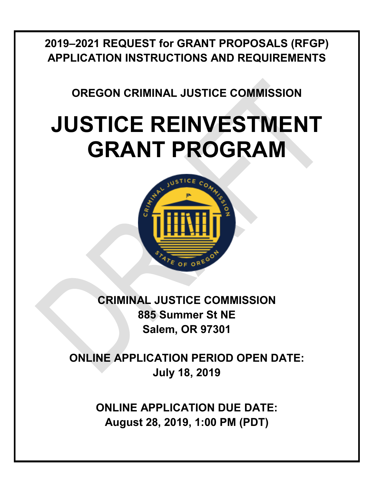**2019–2021 REQUEST for GRANT PROPOSALS (RFGP) APPLICATION INSTRUCTIONS AND REQUIREMENTS**

**OREGON CRIMINAL JUSTICE COMMISSION**

# **JUSTICE REINVESTMENT GRANT PROGRAM**



**CRIMINAL JUSTICE COMMISSION 885 Summer St NE Salem, OR 97301**

**ONLINE APPLICATION PERIOD OPEN DATE: July 18, 2019**

> **ONLINE APPLICATION DUE DATE: August 28, 2019, 1:00 PM (PDT)**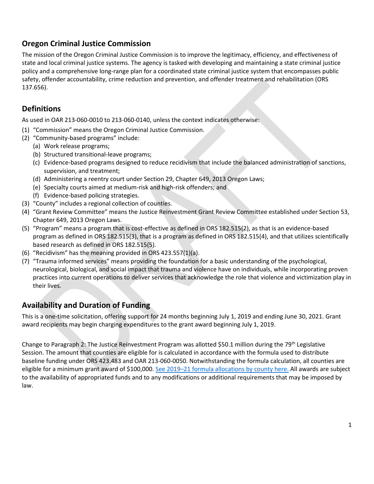# **Oregon Criminal Justice Commission**

The mission of the Oregon Criminal Justice Commission is to improve the legitimacy, efficiency, and effectiveness of state and local criminal justice systems. The agency is tasked with developing and maintaining a state criminal justice policy and a comprehensive long-range plan for a coordinated state criminal justice system that encompasses public safety, offender accountability, crime reduction and prevention, and offender treatment and rehabilitation (ORS 137.656).

# **Definitions**

As used in OAR 213-060-0010 to 213-060-0140, unless the context indicates otherwise:

- (1) "Commission" means the Oregon Criminal Justice Commission.
- (2) "Community-based programs" include:
	- (a) Work release programs;
	- (b) Structured transitional-leave programs;
	- (c) Evidence-based programs designed to reduce recidivism that include the balanced administration of sanctions, supervision, and treatment;
	- (d) Administering a reentry court under Section 29, Chapter 649, 2013 Oregon Laws;
	- (e) Specialty courts aimed at medium-risk and high-risk offenders; and
	- (f) Evidence-based policing strategies.
- (3) "County" includes a regional collection of counties.
- (4) "Grant Review Committee" means the Justice Reinvestment Grant Review Committee established under Section 53, Chapter 649, 2013 Oregon Laws.
- (5) "Program" means a program that is cost-effective as defined in ORS 182.515(2), as that is an evidence-based program as defined in ORS 182.515(3), that is a program as defined in ORS 182.515(4), and that utilizes scientifically based research as defined in ORS 182.515(5).
- (6) "Recidivism" has the meaning provided in ORS 423.557(1)(a).
- (7) "Trauma informed services" means providing the foundation for a basic understanding of the psychological, neurological, biological, and social impact that trauma and violence have on individuals, while incorporating proven practices into current operations to deliver services that acknowledge the role that violence and victimization play in their lives.

# **Availability and Duration of Funding**

This is a one-time solicitation, offering support for 24 months beginning July 1, 2019 and ending June 30, 2021. Grant award recipients may begin charging expenditures to the grant award beginning July 1, 2019.

Change to Paragraph 2: The Justice Reinvestment Program was allotted \$50.1 million during the 79<sup>th</sup> Legislative Session. The amount that counties are eligible for is calculated in accordance with the formula used to distribute baseline funding under ORS 423.483 and OAR 213-060-0050. Notwithstanding the formula calculation, all counties are eligible for a minimum grant award of \$100,000. See 2019–21 [formula allocations by county here.](https://www.oregon.gov/cjc/jri/Documents/19_21_JR_Funding_Table.pdf) All awards are subject to the availability of appropriated funds and to any modifications or additional requirements that may be imposed by law.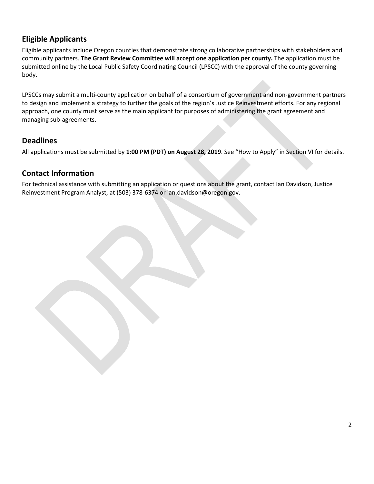# **Eligible Applicants**

Eligible applicants include Oregon counties that demonstrate strong collaborative partnerships with stakeholders and community partners. **The Grant Review Committee will accept one application per county.** The application must be submitted online by the Local Public Safety Coordinating Council (LPSCC) with the approval of the county governing body.

LPSCCs may submit a multi-county application on behalf of a consortium of government and non-government partners to design and implement a strategy to further the goals of the region's Justice Reinvestment efforts. For any regional approach, one county must serve as the main applicant for purposes of administering the grant agreement and managing sub-agreements.

# **Deadlines**

All applications must be submitted by **1:00 PM (PDT) on August 28, 2019**. See "How to Apply" in Section VI for details.

# **Contact Information**

For technical assistance with submitting an application or questions about the grant, contact Ian Davidson, Justice Reinvestment Program Analyst, at (503) 378-6374 or ian.davidson@oregon.gov.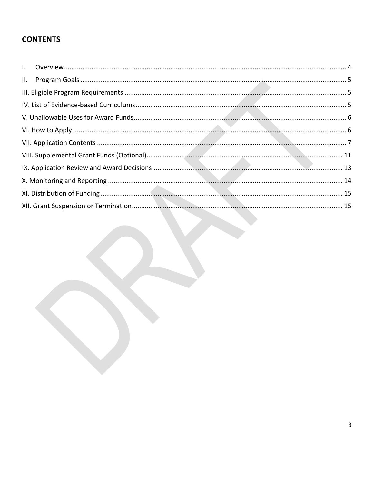# **CONTENTS**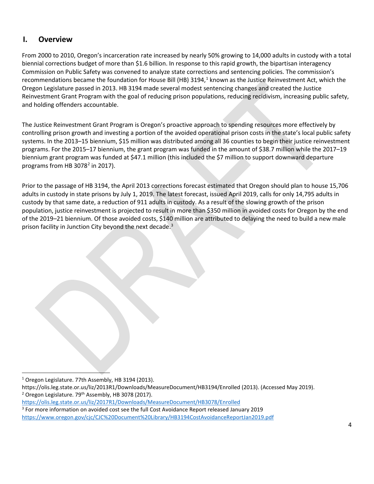# <span id="page-4-0"></span>**I. Overview**

From 2000 to 2010, Oregon's incarceration rate increased by nearly 50% growing to 14,000 adults in custody with a total biennial corrections budget of more than \$1.6 billion. In response to this rapid growth, the bipartisan interagency Commission on Public Safety was convened to analyze state corrections and sentencing policies. The commission's recommendations became the foundation for House Bill (HB) 3194, $<sup>1</sup>$  known as the Justice Reinvestment Act, which the</sup> Oregon Legislature passed in 2013. HB 3194 made several modest sentencing changes and created the Justice Reinvestment Grant Program with the goal of reducing prison populations, reducing recidivism, increasing public safety, and holding offenders accountable.

The Justice Reinvestment Grant Program is Oregon's proactive approach to spending resources more effectively by controlling prison growth and investing a portion of the avoided operational prison costs in the state's local public safety systems. In the 2013–15 biennium, \$15 million was distributed among all 36 counties to begin their justice reinvestment programs. For the 2015–17 biennium, the grant program was funded in the amount of \$38.7 million while the 2017–19 biennium grant program was funded at \$47.1 million (this included the \$7 million to support downward departure programs from HB  $3078<sup>2</sup>$  $3078<sup>2</sup>$  $3078<sup>2</sup>$  in 2017).

<span id="page-4-1"></span>Prior to the passage of HB 3194, the April 2013 corrections forecast estimated that Oregon should plan to house 15,706 adults in custody in state prisons by July 1, 2019. The latest forecast, issued April 2019, calls for only 14,795 adults in custody by that same date, a reduction of 911 adults in custody. As a result of the slowing growth of the prison population, justice reinvestment is projected to result in more than \$350 million in avoided costs for Oregon by the end of the 2019–21 biennium. Of those avoided costs, \$140 million are attributed to delaying the need to build a new male prison facility in Junction City beyond the next decade.<sup>[3](#page-4-4)</sup>

 $\overline{a}$ <sup>1</sup> Oregon Legislature. 77th Assembly, HB 3194 (2013).

<span id="page-4-3"></span><span id="page-4-2"></span>https://olis.leg.state.or.us/liz/2013R1/Downloads/MeasureDocument/HB3194/Enrolled (2013). (Accessed May 2019).  $2$  Oregon Legislature. 79<sup>th</sup> Assembly, HB 3078 (2017).

<https://olis.leg.state.or.us/liz/2017R1/Downloads/MeasureDocument/HB3078/Enrolled>

<span id="page-4-4"></span><sup>3</sup> For more information on avoided cost see the full Cost Avoidance Report released January 2019 <https://www.oregon.gov/cjc/CJC%20Document%20Library/HB3194CostAvoidanceReportJan2019.pdf>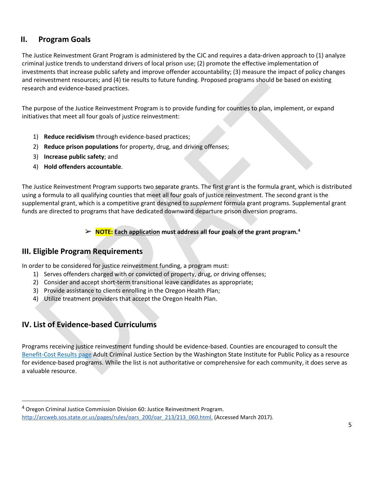# **II. Program Goals**

The Justice Reinvestment Grant Program is administered by the CJC and requires a data-driven approach to (1) analyze criminal justice trends to understand drivers of local prison use; (2) promote the effective implementation of investments that increase public safety and improve offender accountability; (3) measure the impact of policy changes and reinvestment resources; and (4) tie results to future funding. Proposed programs should be based on existing research and evidence-based practices.

The purpose of the Justice Reinvestment Program is to provide funding for counties to plan, implement, or expand initiatives that meet all four goals of justice reinvestment:

- 1) **Reduce recidivism** through evidence-based practices;
- 2) **Reduce prison populations** for property, drug, and driving offenses;
- 3) **Increase public safety**; and
- 4) **Hold offenders accountable**.

The Justice Reinvestment Program supports two separate grants. The first grant is the formula grant, which is distributed using a formula to all qualifying counties that meet all four goals of justice reinvestment. The second grant is the supplemental grant, which is a competitive grant designed to *supplement* formula grant programs. Supplemental grant funds are directed to programs that have dedicated downward departure prison diversion programs.

➢ **NOTE: Each application must address all four goals of the grant program.[4](#page-5-2)**

# <span id="page-5-0"></span>**III. Eligible Program Requirements**

In order to be considered for justice reinvestment funding, a program must:

- 1) Serves offenders charged with or convicted of property, drug, or driving offenses;
- 2) Consider and accept short-term transitional leave candidates as appropriate;
- 3) Provide assistance to clients enrolling in the Oregon Health Plan;
- 4) Utilize treatment providers that accept the Oregon Health Plan.

# <span id="page-5-1"></span>**IV. List of Evidence-based Curriculums**

 $\overline{a}$ 

Programs receiving justice reinvestment funding should be evidence-based. Counties are encouraged to consult the [Benefit-Cost Results page](http://www.wsipp.wa.gov/BenefitCost?topicId=2) Adult Criminal Justice Section by the Washington State Institute for Public Policy as a resource for evidence-based programs. While the list is not authoritative or comprehensive for each community, it does serve as a valuable resource.

<span id="page-5-2"></span> $4$  Oregon Criminal Justice Commission Division 60: Justice Reinvestment Program. [http://arcweb.sos.state.or.us/pages/rules/oars\\_200/oar\\_213/213\\_060.html.](http://arcweb.sos.state.or.us/pages/rules/oars_200/oar_213/213_060.html) (Accessed March 2017).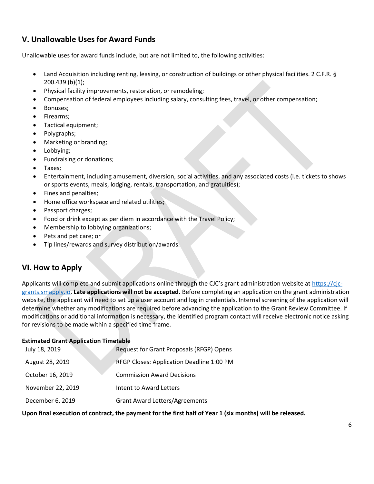# <span id="page-6-0"></span>**V. Unallowable Uses for Award Funds**

Unallowable uses for award funds include, but are not limited to, the following activities:

- Land Acquisition including renting, leasing, or construction of buildings or other physical facilities. 2 C.F.R. § 200.439 (b)(1);
- Physical facility improvements, restoration, or remodeling;
- Compensation of federal employees including salary, consulting fees, travel, or other compensation;
- Bonuses;
- Firearms;
- Tactical equipment;
- Polygraphs;
- Marketing or branding;
- Lobbying;
- Fundraising or donations;
- Taxes;
- Entertainment, including amusement, diversion, social activities, and any associated costs (i.e. tickets to shows or sports events, meals, lodging, rentals, transportation, and gratuities);
- Fines and penalties;
- Home office workspace and related utilities;
- Passport charges;
- Food or drink except as per diem in accordance with the Travel Policy;
- Membership to lobbying organizations;
- Pets and pet care; or
- Tip lines/rewards and survey distribution/awards.

# <span id="page-6-1"></span>**VI. How to Apply**

Applicants will complete and submit applications online through the CJC's grant administration website at [https://cjc](https://cjc-grants.smapply.io/)[grants.smapply.io.](https://cjc-grants.smapply.io/) **Late applications will not be accepted.** Before completing an application on the grant administration website, the applicant will need to set up a user account and log in credentials. Internal screening of the application will determine whether any modifications are required before advancing the application to the Grant Review Committee. If modifications or additional information is necessary, the identified program contact will receive electronic notice asking for revisions to be made within a specified time frame.

## **Estimated Grant Application Timetable**

| July 18, 2019     | Request for Grant Proposals (RFGP) Opens  |
|-------------------|-------------------------------------------|
| August 28, 2019   | RFGP Closes: Application Deadline 1:00 PM |
| October 16, 2019  | <b>Commission Award Decisions</b>         |
| November 22, 2019 | Intent to Award Letters                   |
| December 6, 2019  | <b>Grant Award Letters/Agreements</b>     |

**Upon final execution of contract, the payment for the first half of Year 1 (six months) will be released.**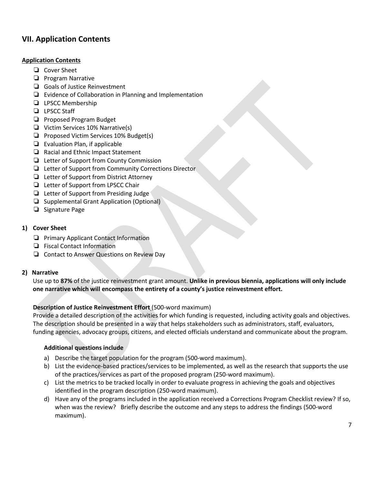# <span id="page-7-0"></span>**VII. Application Contents**

## **Application Contents**

- ❏ Cover Sheet
- ❏ Program Narrative
- ❏ Goals of Justice Reinvestment
- ❏ Evidence of Collaboration in Planning and Implementation
- ❏ LPSCC Membership
- ❏ LPSCC Staff
- ❏ Proposed Program Budget
- ❏ Victim Services 10% Narrative(s)
- ❏ Proposed Victim Services 10% Budget(s)
- ❏ Evaluation Plan, if applicable
- ❏ Racial and Ethnic Impact Statement
- ❏ Letter of Support from County Commission
- ❏ Letter of Support from Community Corrections Director
- ❏ Letter of Support from District Attorney
- ❏ Letter of Support from LPSCC Chair
- ❏ Letter of Support from Presiding Judge
- ❏ Supplemental Grant Application (Optional)
- ❏ Signature Page

## **1) Cover Sheet**

- ❏ Primary Applicant Contact Information
- ❏ Fiscal Contact Information
- ❏ Contact to Answer Questions on Review Day

## **2) Narrative**

Use up to **87%** of the justice reinvestment grant amount. **Unlike in previous biennia, applications will only include one narrative which will encompass the entirety of a county's justice reinvestment effort.** 

## **Description of Justice Reinvestment Effort** (500-word maximum)

Provide a detailed description of the activities for which funding is requested, including activity goals and objectives. The description should be presented in a way that helps stakeholders such as administrators, staff, evaluators, funding agencies, advocacy groups, citizens, and elected officials understand and communicate about the program.

## **Additional questions include**

- a) Describe the target population for the program (500-word maximum).
- b) List the evidence-based practices/services to be implemented, as well as the research that supports the use of the practices/services as part of the proposed program (250-word maximum).
- c) List the metrics to be tracked locally in order to evaluate progress in achieving the goals and objectives identified in the program description (250-word maximum).
- d) Have any of the programs included in the application received a Corrections Program Checklist review? If so, when was the review? Briefly describe the outcome and any steps to address the findings (500-word maximum).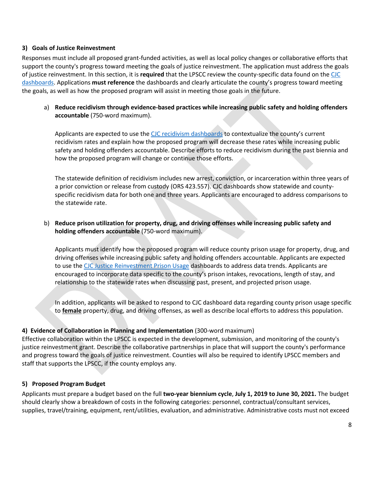#### **3) Goals of Justice Reinvestment**

Responses must include all proposed grant-funded activities, as well as local policy changes or collaborative efforts that support the county's progress toward meeting the goals of justice reinvestment. The application must address the goals of justice reinvestment. In this section, it is **required** that the LPSCC review the county-specific data found on the [CJC](https://www.oregon.gov/cjc/SAC/Pages/snapshot.aspx)  [dashboards.](https://www.oregon.gov/cjc/SAC/Pages/snapshot.aspx) Applications **must reference** the dashboards and clearly articulate the county's progress toward meeting the goals, as well as how the proposed program will assist in meeting those goals in the future.

a) **Reduce recidivism through evidence-based practices while increasing public safety and holding offenders accountable** (750-word maximum).

Applicants are expected to use the [CJC recidivism dashboards](https://www.oregon.gov/cjc/SAC/Pages/snapshot.aspx) to contextualize the county's current recidivism rates and explain how the proposed program will decrease these rates while increasing public safety and holding offenders accountable. Describe efforts to reduce recidivism during the past biennia and how the proposed program will change or continue those efforts.

The statewide definition of recidivism includes new arrest, conviction, or incarceration within three years of a prior conviction or release from custody (ORS 423.557). CJC dashboards show statewide and countyspecific recidivism data for both one and three years. Applicants are encouraged to address comparisons to the statewide rate.

## b) **Reduce prison utilization for property, drug, and driving offenses while increasing public safety and holding offenders accountable** (750-word maximum).

Applicants must identify how the proposed program will reduce county prison usage for property, drug, and driving offenses while increasing public safety and holding offenders accountable. Applicants are expected to use the CJC [Justice Reinvestment Prison Usage](https://www.oregon.gov/cjc/SAC/Pages/snapshot.aspx) dashboards to address data trends. Applicants are encouraged to incorporate data specific to the county's prison intakes, revocations, length of stay, and relationship to the statewide rates when discussing past, present, and projected prison usage.

In addition, applicants will be asked to respond to CJC dashboard data regarding county prison usage specific to **female** property, drug, and driving offenses, as well as describe local efforts to address this population.

#### **4) Evidence of Collaboration in Planning and Implementation** (300-word maximum)

Effective collaboration within the LPSCC is expected in the development, submission, and monitoring of the county's justice reinvestment grant. Describe the collaborative partnerships in place that will support the county's performance and progress toward the goals of justice reinvestment. Counties will also be required to identify LPSCC members and staff that supports the LPSCC, if the county employs any.

#### **5) Proposed Program Budget**

Applicants must prepare a budget based on the full **two-year biennium cycle**, **July 1, 2019 to June 30, 2021.** The budget should clearly show a breakdown of costs in the following categories: personnel, contractual/consultant services, supplies, travel/training, equipment, rent/utilities, evaluation, and administrative. Administrative costs must not exceed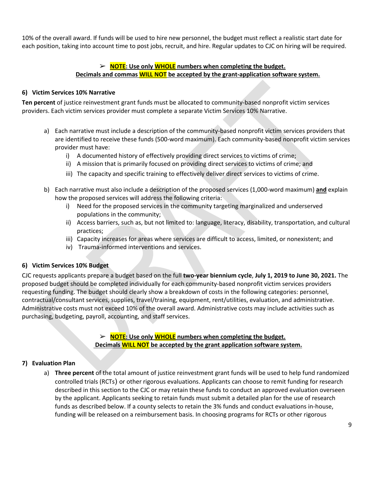10% of the overall award. If funds will be used to hire new personnel, the budget must reflect a realistic start date for each position, taking into account time to post jobs, recruit, and hire. Regular updates to CJC on hiring will be required.

# ➢ **NOTE: Use only WHOLE numbers when completing the budget. Decimals and commas WILL NOT be accepted by the grant-application software system.**

## **6) Victim Services 10% Narrative**

**Ten percent** of justice reinvestment grant funds must be allocated to community-based nonprofit victim services providers. Each victim services provider must complete a separate Victim Services 10% Narrative.

- a) Each narrative must include a description of the community-based nonprofit victim services providers that are identified to receive these funds (500-word maximum). Each community-based nonprofit victim services provider must have:
	- i) A documented history of effectively providing direct services to victims of crime;
	- ii) A mission that is primarily focused on providing direct services to victims of crime; and
	- iii) The capacity and specific training to effectively deliver direct services to victims of crime.
- b) Each narrative must also include a description of the proposed services (1,000-word maximum) **and** explain how the proposed services will address the following criteria:
	- i) Need for the proposed services in the community targeting marginalized and underserved populations in the community;
	- ii) Access barriers, such as, but not limited to: language, literacy, disability, transportation, and cultural practices;
	- iii) Capacity increases for areas where services are difficult to access, limited, or nonexistent; and
	- iv) Trauma-informed interventions and services.

#### **6) Victim Services 10% Budget**

CJC requests applicants prepare a budget based on the full **two-year biennium cycle**, **July 1, 2019 to June 30, 2021.** The proposed budget should be completed individually for each community-based nonprofit victim services providers requesting funding. The budget should clearly show a breakdown of costs in the following categories: personnel, contractual/consultant services, supplies, travel/training, equipment, rent/utilities, evaluation, and administrative. Administrative costs must not exceed 10% of the overall award. Administrative costs may include activities such as purchasing, budgeting, payroll, accounting, and staff services.

## ➢ **NOTE: Use only WHOLE numbers when completing the budget. Decimals WILL NOT be accepted by the grant application software system.**

#### **7) Evaluation Plan**

a) **Three percent** of the total amount of justice reinvestment grant funds will be used to help fund randomized controlled trials (RCTs) or other rigorous evaluations. Applicants can choose to remit funding for research described in this section to the CJC or may retain these funds to conduct an approved evaluation overseen by the applicant. Applicants seeking to retain funds must submit a detailed plan for the use of research funds as described below. If a county selects to retain the 3% funds and conduct evaluations in-house, funding will be released on a reimbursement basis. In choosing programs for RCTs or other rigorous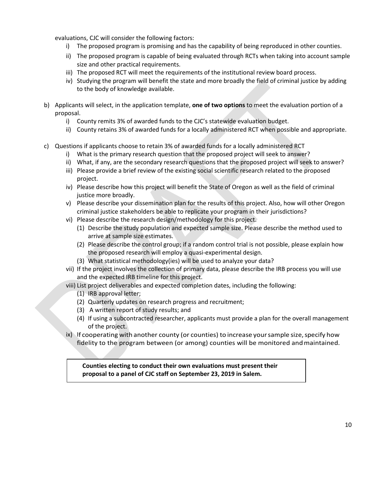evaluations, CJC will consider the following factors:

- i) The proposed program is promising and has the capability of being reproduced in other counties.
- ii) The proposed program is capable of being evaluated through RCTs when taking into account sample size and other practical requirements.
- iii) The proposed RCT will meet the requirements of the institutional review board process.
- iv) Studying the program will benefit the state and more broadly the field of criminal justice by adding to the body of knowledge available.
- b) Applicants will select, in the application template, **one of two options** to meet the evaluation portion of a proposal.
	- i) County remits 3% of awarded funds to the CJC's statewide evaluation budget.
	- ii) County retains 3% of awarded funds for a locally administered RCT when possible and appropriate.
- c) Questions if applicants choose to retain 3% of awarded funds for a locally administered RCT
	- i) What is the primary research question that the proposed project will seek to answer?
	- ii) What, if any, are the secondary research questions that the proposed project will seek to answer?
	- iii) Please provide a brief review of the existing social scientific research related to the proposed project.
	- iv) Please describe how this project will benefit the State of Oregon as well as the field of criminal justice more broadly.
	- v) Please describe your dissemination plan for the results of this project. Also, how will other Oregon criminal justice stakeholders be able to replicate your program in their jurisdictions?
	- vi) Please describe the research design/methodology for this project.
		- (1) Describe the study population and expected sample size. Please describe the method used to arrive at sample size estimates.
		- (2) Please describe the control group; if a random control trial is not possible, please explain how the proposed research will employ a quasi-experimental design.
		- (3) What statistical methodology(ies) will be used to analyze your data?
	- vii) If the project involves the collection of primary data, please describe the IRB process you will use and the expected IRB timeline for this project.
	- viii) List project deliverables and expected completion dates, including the following:
		- (1) IRB approval letter;
		- (2) Quarterly updates on research progress and recruitment;
		- (3) A written report of study results; and
		- (4) If using a subcontracted researcher, applicants must provide a plan for the overall management of the project.
	- ix) If cooperating with another county (or counties) to increase your sample size, specify how fidelity to the program between (or among) counties will be monitored andmaintained.

**Counties electing to conduct their own evaluations must present their proposal to a panel of CJC staff on September 23, 2019 in Salem.**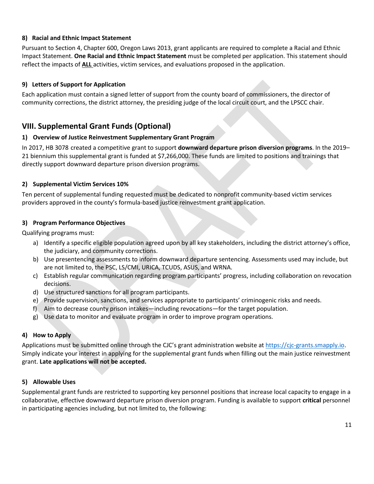## **8) Racial and Ethnic Impact Statement**

Pursuant to Section 4, Chapter 600, Oregon Laws 2013, grant applicants are required to complete a Racial and Ethnic Impact Statement. **One Racial and Ethnic Impact Statement** must be completed per application. This statement should reflect the impacts of **ALL** activities, victim services, and evaluations proposed in the application.

## **9) Letters of Support for Application**

Each application must contain a signed letter of support from the county board of commissioners, the director of community corrections, the district attorney, the presiding judge of the local circuit court, and the LPSCC chair.

# <span id="page-11-0"></span>**VIII. Supplemental Grant Funds (Optional)**

## **1) Overview of Justice Reinvestment Supplementary Grant Program**

In 2017, HB 3078 created a competitive grant to support **downward departure prison diversion programs**. In the 2019– 21 biennium this supplemental grant is funded at \$7,266,000. These funds are limited to positions and trainings that directly support downward departure prison diversion programs.

#### **2) Supplemental Victim Services 10%**

Ten percent of supplemental funding requested must be dedicated to nonprofit community-based victim services providers approved in the county's formula-based justice reinvestment grant application.

#### **3) Program Performance Objectives**

Qualifying programs must:

- a) Identify a specific eligible population agreed upon by all key stakeholders, including the district attorney's office, the judiciary, and community corrections.
- b) Use presentencing assessments to inform downward departure sentencing. Assessments used may include, but are not limited to, the PSC, LS/CMI, URICA, TCUDS, ASUS, and WRNA.
- c) Establish regular communication regarding program participants' progress, including collaboration on revocation decisions.
- d) Use structured sanctions for all program participants.
- e) Provide supervision, sanctions, and services appropriate to participants' criminogenic risks and needs.
- f) Aim to decrease county prison intakes—including revocations—for the target population.
- g) Use data to monitor and evaluate program in order to improve program operations.

## **4) How to Apply**

Applications must be submitted online through the CJC's grant administration website a[t https://cjc-grants.smapply.io.](https://cjc-grants.smapply.io/) Simply indicate your interest in applying for the supplemental grant funds when filling out the main justice reinvestment grant. **Late applications will not be accepted.**

## **5) Allowable Uses**

Supplemental grant funds are restricted to supporting key personnel positions that increase local capacity to engage in a collaborative, effective downward departure prison diversion program. Funding is available to support **critical** personnel in participating agencies including, but not limited to, the following: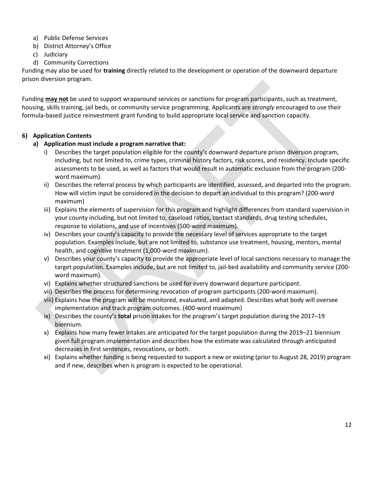- a) Public Defense Services
- b) District Attorney's Office
- c) Judiciary
- d) Community Corrections

Funding may also be used for **training** directly related to the development or operation of the downward departure prison diversion program.

Funding **may not** be used to support wraparound services or sanctions for program participants, such as treatment, housing, skills training, jail beds, or community service programming. Applicants are *strongly* encouraged to use their formula-based justice reinvestment grant funding to build appropriate local service and sanction capacity.

## **6) Application Contents**

## **a) Application must include a program narrative that:**

- i) Describes the target population eligible for the county's downward departure prison diversion program, including, but not limited to, crime types, criminal history factors, risk scores, and residency. Include specific assessments to be used, as well as factors that would result in automatic exclusion from the program (200 word maximum).
- ii) Describes the referral process by which participants are identified, assessed, and departed into the program. How will victim input be considered in the decision to depart an individual to this program? (200-word maximum)
- iii) Explains the elements of supervision for this program and highlight differences from standard supervision in your county including, but not limited to, caseload ratios, contact standards, drug testing schedules, response to violations, and use of incentives (500-word maximum).
- iv) Describes your county's capacity to provide the necessary level of services appropriate to the target population. Examples include, but are not limited to, substance use treatment, housing, mentors, mental health, and cognitive treatment (1,000-word maximum).
- v) Describes your county's capacity to provide the appropriate level of local sanctions necessary to manage the target population. Examples include, but are not limited to, jail-bed availability and community service (200 word maximum).
- vi) Explains whether structured sanctions be used for every downward departure participant.
- vii) Describes the process for determining revocation of program participants (200-word maximum).
- viii) Explains how the program will be monitored, evaluated, and adapted. Describes what body will oversee implementation and track program outcomes. (400-word maximum)
- ix) Describes the county's **total** prison intakes for the program's target population during the 2017–19 biennium.
- x) Explains how many fewer intakes are anticipated for the target population during the 2019–21 biennium given full program implementation and describes how the estimate was calculated through anticipated decreases in first sentences, revocations, or both.
- <span id="page-12-0"></span>xi) Explains whether funding is being requested to support a new or existing (prior to August 28, 2019) program and if new, describes when is program is expected to be operational.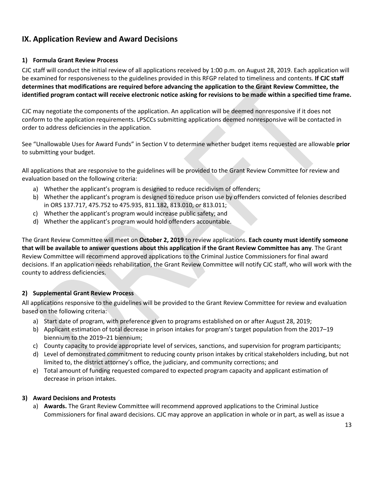# **IX. Application Review and Award Decisions**

## **1) Formula Grant Review Process**

CJC staff will conduct the initial review of all applications received by 1:00 p.m. on August 28, 2019. Each application will be examined for responsiveness to the guidelines provided in this RFGP related to timeliness and contents. **If CJC staff determines that modifications are required before advancing the application to the Grant Review Committee, the identified program contact will receive electronic notice asking for revisions to be made within a specified time frame.** 

CJC may negotiate the components of the application. An application will be deemed nonresponsive if it does not conform to the application requirements. LPSCCs submitting applications deemed nonresponsive will be contacted in order to address deficiencies in the application.

See "Unallowable Uses for Award Funds" in Section V to determine whether budget items requested are allowable **prior** to submitting your budget.

All applications that are responsive to the guidelines will be provided to the Grant Review Committee for review and evaluation based on the following criteria:

- a) Whether the applicant's program is designed to reduce recidivism of offenders;
- b) Whether the applicant's program is designed to reduce prison use by offenders convicted of felonies described in ORS 137.717, 475.752 to 475.935, 811.182, 813.010, or 813.011;
- c) Whether the applicant's program would increase public safety; and
- d) Whether the applicant's program would hold offenders accountable.

The Grant Review Committee will meet on **October 2, 2019** to review applications. **Each county must identify someone that will be available to answer questions about this application if the Grant Review Committee has any**. The Grant Review Committee will recommend approved applications to the Criminal Justice Commissioners for final award decisions. If an application needs rehabilitation, the Grant Review Committee will notify CJC staff, who will work with the county to address deficiencies.

## **2) Supplemental Grant Review Process**

All applications responsive to the guidelines will be provided to the Grant Review Committee for review and evaluation based on the following criteria:

- a) Start date of program, with preference given to programs established on or after August 28, 2019;
- b) Applicant estimation of total decrease in prison intakes for program's target population from the 2017–19 biennium to the 2019–21 biennium;
- c) County capacity to provide appropriate level of services, sanctions, and supervision for program participants;
- d) Level of demonstrated commitment to reducing county prison intakes by critical stakeholders including, but not limited to, the district attorney's office, the judiciary, and community corrections; and
- e) Total amount of funding requested compared to expected program capacity and applicant estimation of decrease in prison intakes.

## **3) Award Decisions and Protests**

a) **Awards.** The Grant Review Committee will recommend approved applications to the Criminal Justice Commissioners for final award decisions. CJC may approve an application in whole or in part, as well as issue a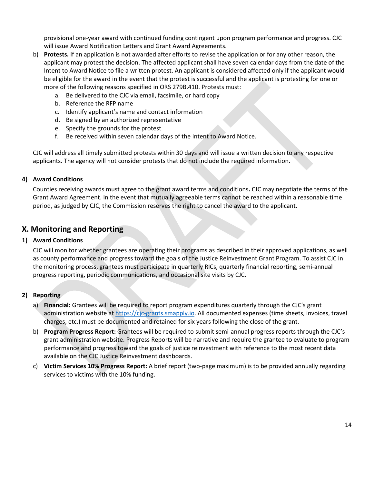provisional one-year award with continued funding contingent upon program performance and progress. CJC will issue Award Notification Letters and Grant Award Agreements.

- b) **Protests.** If an application is not awarded after efforts to revise the application or for any other reason, the applicant may protest the decision. The affected applicant shall have seven calendar days from the date of the Intent to Award Notice to file a written protest. An applicant is considered affected only if the applicant would be eligible for the award in the event that the protest is successful and the applicant is protesting for one or more of the following reasons specified in ORS 279B.410. Protests must:
	- a. Be delivered to the CJC via email, facsimile, or hard copy
	- b. Reference the RFP name
	- c. Identify applicant's name and contact information
	- d. Be signed by an authorized representative
	- e. Specify the grounds for the protest
	- f. Be received within seven calendar days of the Intent to Award Notice.

CJC will address all timely submitted protests within 30 days and will issue a written decision to any respective applicants. The agency will not consider protests that do not include the required information.

#### **4) Award Conditions**

Counties receiving awards must agree to the grant award terms and conditions**.** CJC may negotiate the terms of the Grant Award Agreement. In the event that mutually agreeable terms cannot be reached within a reasonable time period, as judged by CJC, the Commission reserves the right to cancel the award to the applicant.

## <span id="page-14-0"></span>**X. Monitoring and Reporting**

#### **1) Award Conditions**

CJC will monitor whether grantees are operating their programs as described in their approved applications, as well as county performance and progress toward the goals of the Justice Reinvestment Grant Program. To assist CJC in the monitoring process, grantees must participate in quarterly RICs, quarterly financial reporting, semi-annual progress reporting, periodic communications, and occasional site visits by CJC.

#### **2) Reporting**

- a) **Financial:** Grantees will be required to report program expenditures quarterly through the CJC's grant administration website at [https://cjc-grants.smapply.io.](https://cjc-grants.smapply.io/) All documented expenses (time sheets, invoices, travel charges, etc.) must be documented and retained for six years following the close of the grant.
- b) **Program Progress Report:** Grantees will be required to submit semi-annual progress reports through the CJC's grant administration website. Progress Reports will be narrative and require the grantee to evaluate to program performance and progress toward the goals of justice reinvestment with reference to the most recent data available on the CJC Justice Reinvestment dashboards.
- <span id="page-14-1"></span>c) **Victim Services 10% Progress Report:** A brief report (two-page maximum) is to be provided annually regarding services to victims with the 10% funding.